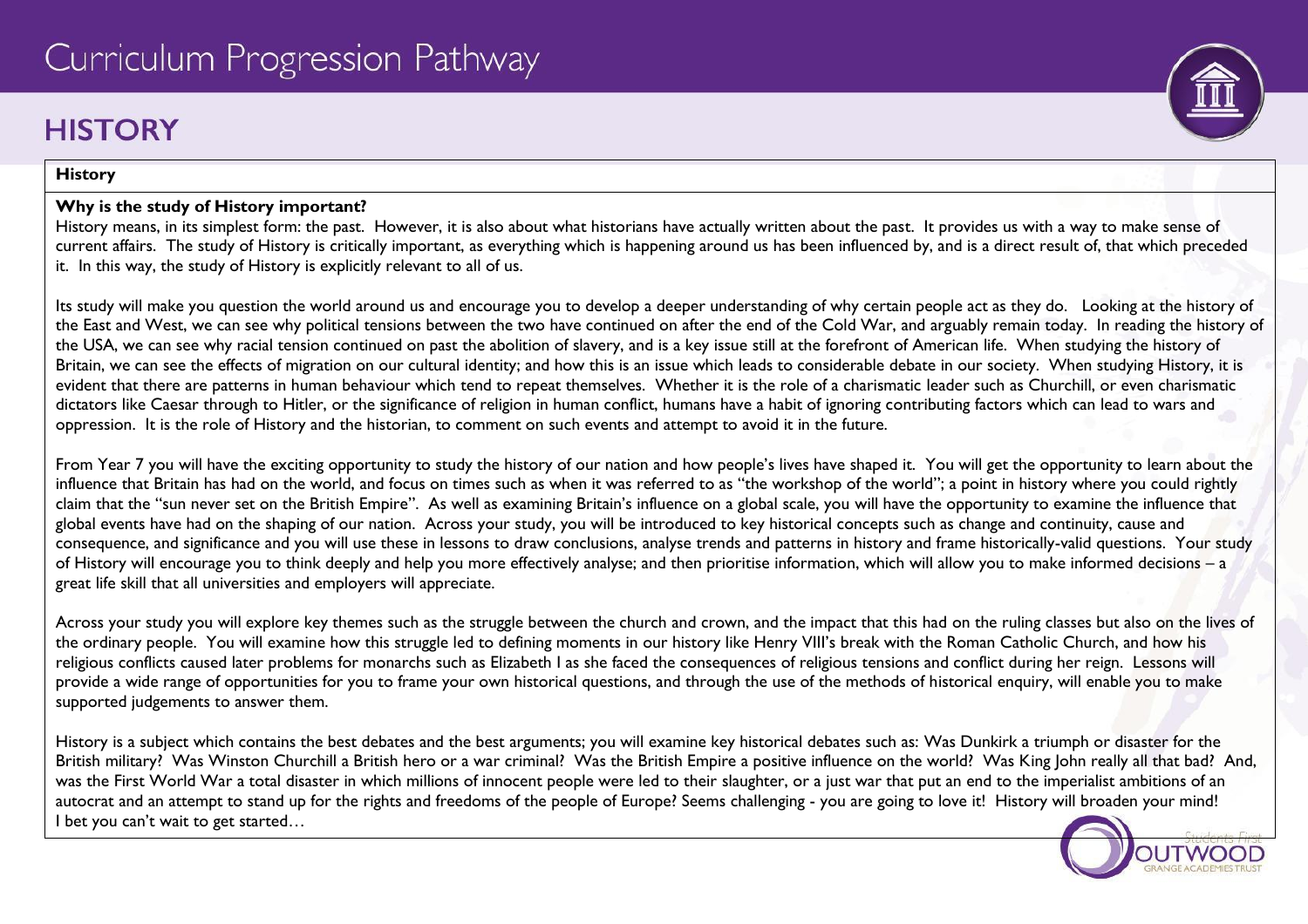# **HISTORY**

#### **History**

#### **Why is the study of History important?**

History means, in its simplest form: the past. However, it is also about what historians have actually written about the past. It provides us with a way to make sense of current affairs. The study of History is critically important, as everything which is happening around us has been influenced by, and is a direct result of, that which preceded it. In this way, the study of History is explicitly relevant to all of us.

Its study will make you question the world around us and encourage you to develop a deeper understanding of why certain people act as they do. Looking at the history of the East and West, we can see why political tensions between the two have continued on after the end of the Cold War, and arguably remain today. In reading the history of the USA, we can see why racial tension continued on past the abolition of slavery, and is a key issue still at the forefront of American life. When studying the history of Britain, we can see the effects of migration on our cultural identity; and how this is an issue which leads to considerable debate in our society. When studying History, it is evident that there are patterns in human behaviour which tend to repeat themselves. Whether it is the role of a charismatic leader such as Churchill, or even charismatic dictators like Caesar through to Hitler, or the significance of religion in human conflict, humans have a habit of ignoring contributing factors which can lead to wars and oppression. It is the role of History and the historian, to comment on such events and attempt to avoid it in the future.

From Year 7 you will have the exciting opportunity to study the history of our nation and how people's lives have shaped it. You will get the opportunity to learn about the influence that Britain has had on the world, and focus on times such as when it was referred to as "the workshop of the world"; a point in history where you could rightly claim that the "sun never set on the British Empire". As well as examining Britain's influence on a global scale, you will have the opportunity to examine the influence that global events have had on the shaping of our nation. Across your study, you will be introduced to key historical concepts such as change and continuity, cause and consequence, and significance and you will use these in lessons to draw conclusions, analyse trends and patterns in history and frame historically-valid questions. Your study of History will encourage you to think deeply and help you more effectively analyse; and then prioritise information, which will allow you to make informed decisions – a great life skill that all universities and employers will appreciate.

Across your study you will explore key themes such as the struggle between the church and crown, and the impact that this had on the ruling classes but also on the lives of the ordinary people. You will examine how this struggle led to defining moments in our history like Henry VIII's break with the Roman Catholic Church, and how his religious conflicts caused later problems for monarchs such as Elizabeth I as she faced the consequences of religious tensions and conflict during her reign. Lessons will provide a wide range of opportunities for you to frame your own historical questions, and through the use of the methods of historical enquiry, will enable you to make supported judgements to answer them.

History is a subject which contains the best debates and the best arguments; you will examine key historical debates such as: Was Dunkirk a triumph or disaster for the British military? Was Winston Churchill a British hero or a war criminal? Was the British Empire a positive influence on the world? Was King John really all that bad? And, was the First World War a total disaster in which millions of innocent people were led to their slaughter, or a just war that put an end to the imperialist ambitions of an autocrat and an attempt to stand up for the rights and freedoms of the people of Europe? Seems challenging - you are going to love it! History will broaden your mind! I bet you can't wait to get started...

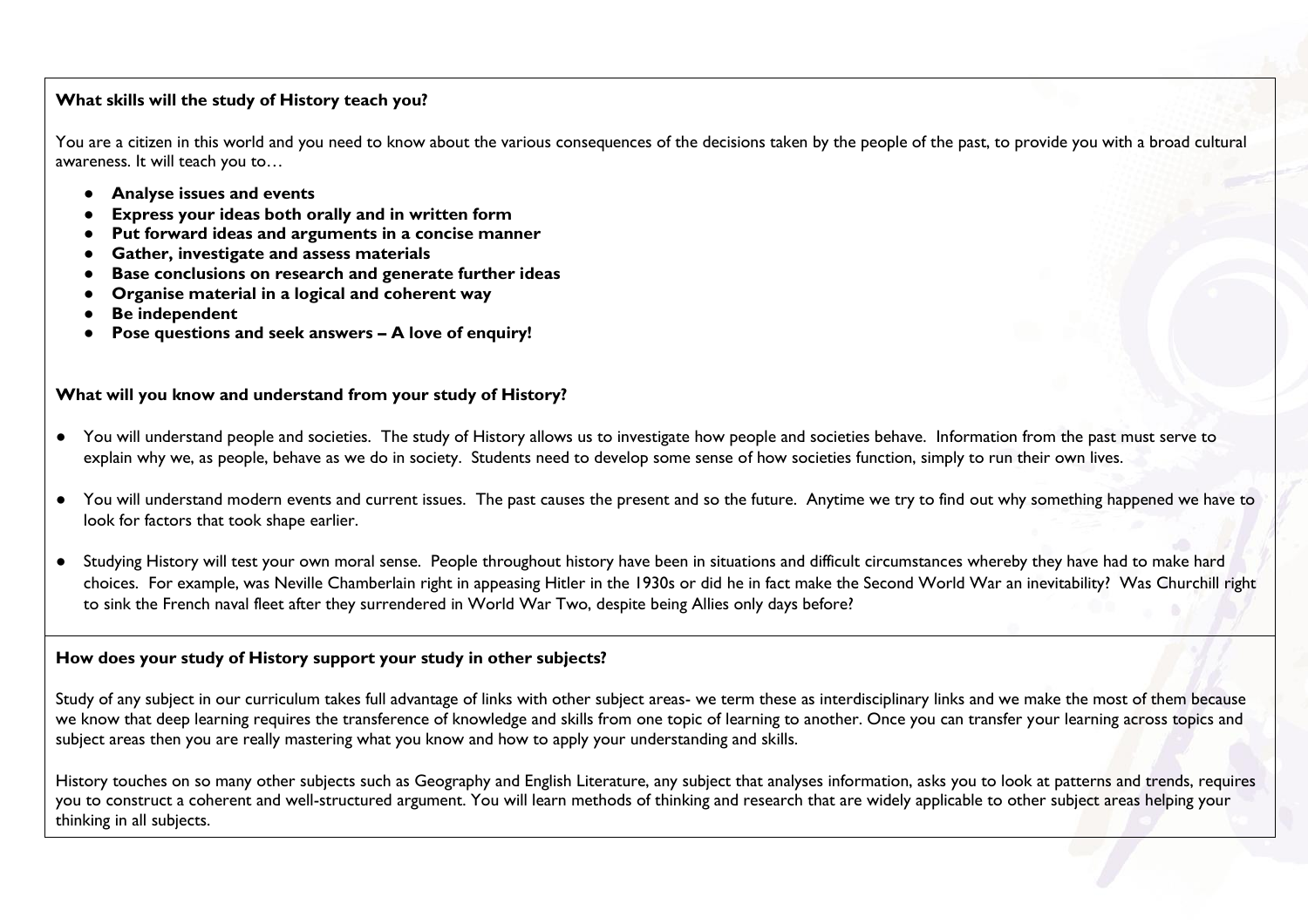#### **What skills will the study of History teach you?**

You are a citizen in this world and you need to know about the various consequences of the decisions taken by the people of the past, to provide you with a broad cultural awareness. It will teach you to…

- **Analyse issues and events**
- **Express your ideas both orally and in written form**
- **Put forward ideas and arguments in a concise manner**
- **Gather, investigate and assess materials**
- **Base conclusions on research and generate further ideas**
- **Organise material in a logical and coherent way**
- **Be independent**
- **Pose questions and seek answers – A love of enquiry!**

#### **What will you know and understand from your study of History?**

- You will understand people and societies. The study of History allows us to investigate how people and societies behave. Information from the past must serve to explain why we, as people, behave as we do in society. Students need to develop some sense of how societies function, simply to run their own lives.
- You will understand modern events and current issues. The past causes the present and so the future. Anytime we try to find out why something happened we have to look for factors that took shape earlier.
- Studying History will test your own moral sense. People throughout history have been in situations and difficult circumstances whereby they have had to make hard choices. For example, was Neville Chamberlain right in appeasing Hitler in the 1930s or did he in fact make the Second World War an inevitability? Was Churchill right to sink the French naval fleet after they surrendered in World War Two, despite being Allies only days before?

#### **How does your study of History support your study in other subjects?**

Study of any subject in our curriculum takes full advantage of links with other subject areas- we term these as interdisciplinary links and we make the most of them because we know that deep learning requires the transference of knowledge and skills from one topic of learning to another. Once you can transfer your learning across topics and subject areas then you are really mastering what you know and how to apply your understanding and skills.

History touches on so many other subjects such as Geography and English Literature, any subject that analyses information, asks you to look at patterns and trends, requires you to construct a coherent and well-structured argument. You will learn methods of thinking and research that are widely applicable to other subject areas helping your thinking in all subjects.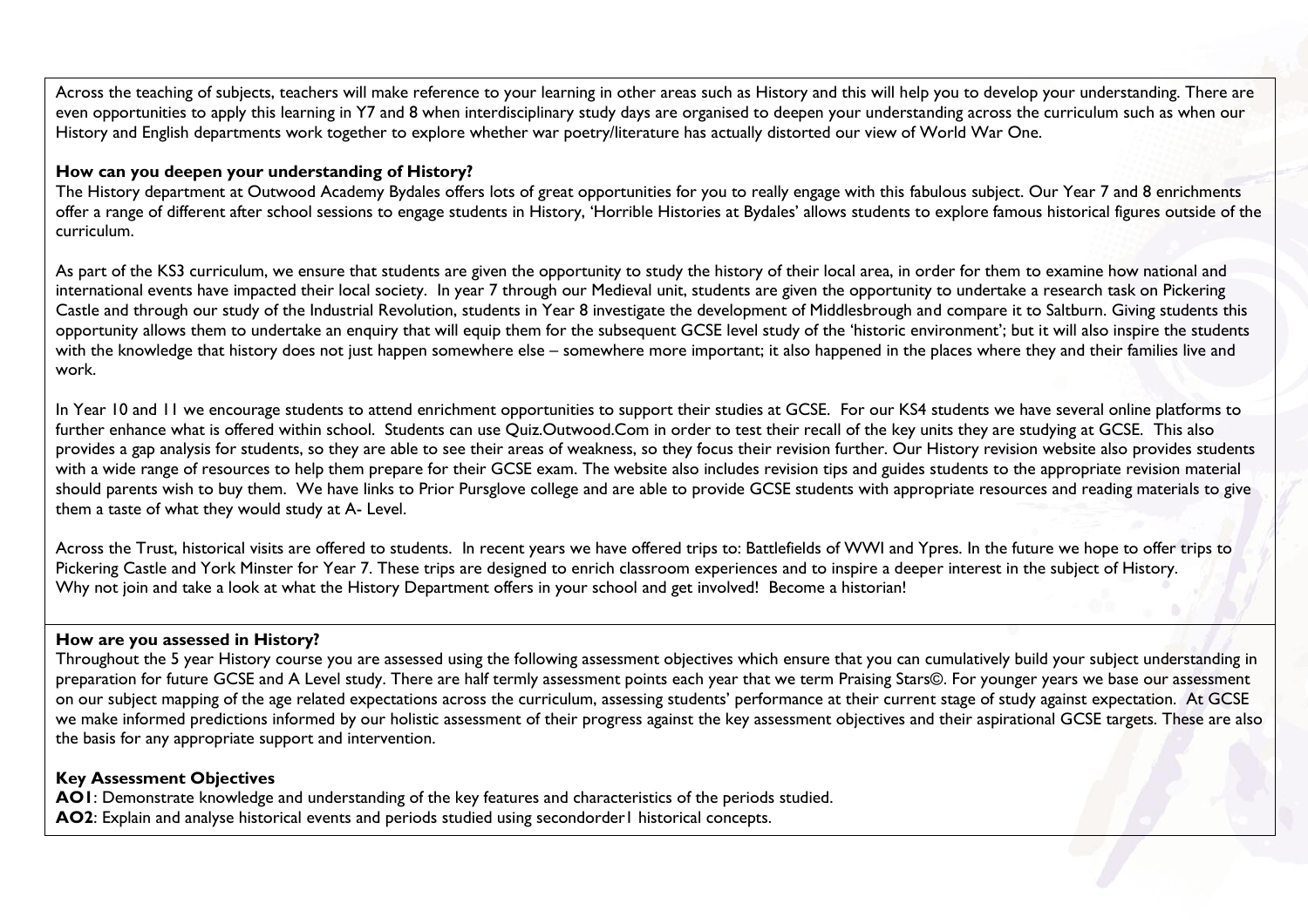Across the teaching of subjects, teachers will make reference to your learning in other areas such as History and this will help you to develop your understanding. There are even opportunities to apply this learning in Y7 and 8 when interdisciplinary study days are organised to deepen your understanding across the curriculum such as when our History and English departments work together to explore whether war poetry/literature has actually distorted our view of World War One.

#### **How can you deepen your understanding of History?**

The History department at Outwood Academy Bydales offers lots of great opportunities for you to really engage with this fabulous subject. Our Year 7 and 8 enrichments offer a range of different after school sessions to engage students in History, 'Horrible Histories at Bydales' allows students to explore famous historical figures outside of the curriculum.

As part of the KS3 curriculum, we ensure that students are given the opportunity to study the history of their local area, in order for them to examine how national and international events have impacted their local society. In year 7 through our Medieval unit, students are given the opportunity to undertake a research task on Pickering Castle and through our study of the Industrial Revolution, students in Year 8 investigate the development of Middlesbrough and compare it to Saltburn. Giving students this opportunity allows them to undertake an enquiry that will equip them for the subsequent GCSE level study of the 'historic environment'; but it will also inspire the students with the knowledge that history does not just happen somewhere else – somewhere more important; it also happened in the places where they and their families live and work.

In Year 10 and 11 we encourage students to attend enrichment opportunities to support their studies at GCSE. For our KS4 students we have several online platforms to further enhance what is offered within school. Students can use Quiz.Outwood.Com in order to test their recall of the key units they are studying at GCSE. This also provides a gap analysis for students, so they are able to see their areas of weakness, so they focus their revision further. Our History revision website also provides students with a wide range of resources to help them prepare for their GCSE exam. The website also includes revision tips and guides students to the appropriate revision material should parents wish to buy them. We have links to Prior Pursglove college and are able to provide GCSE students with appropriate resources and reading materials to give them a taste of what they would study at A- Level.

Across the Trust, historical visits are offered to students. In recent years we have offered trips to: Battlefields of WWI and Ypres. In the future we hope to offer trips to Pickering Castle and York Minster for Year 7. These trips are designed to enrich classroom experiences and to inspire a deeper interest in the subject of History. Why not join and take a look at what the History Department offers in your school and get involved! Become a historian!

#### **How are you assessed in History?**

Throughout the 5 year History course you are assessed using the following assessment objectives which ensure that you can cumulatively build your subject understanding in preparation for future GCSE and A Level study. There are half termly assessment points each year that we term Praising Stars©. For younger years we base our assessment on our subject mapping of the age related expectations across the curriculum, assessing students' performance at their current stage of study against expectation. At GCSE we make informed predictions informed by our holistic assessment of their progress against the key assessment objectives and their aspirational GCSE targets. These are also the basis for any appropriate support and intervention.

#### **Key Assessment Objectives**

**AO1**: Demonstrate knowledge and understanding of the key features and characteristics of the periods studied. **AO2**: Explain and analyse historical events and periods studied using secondorder1 historical concepts.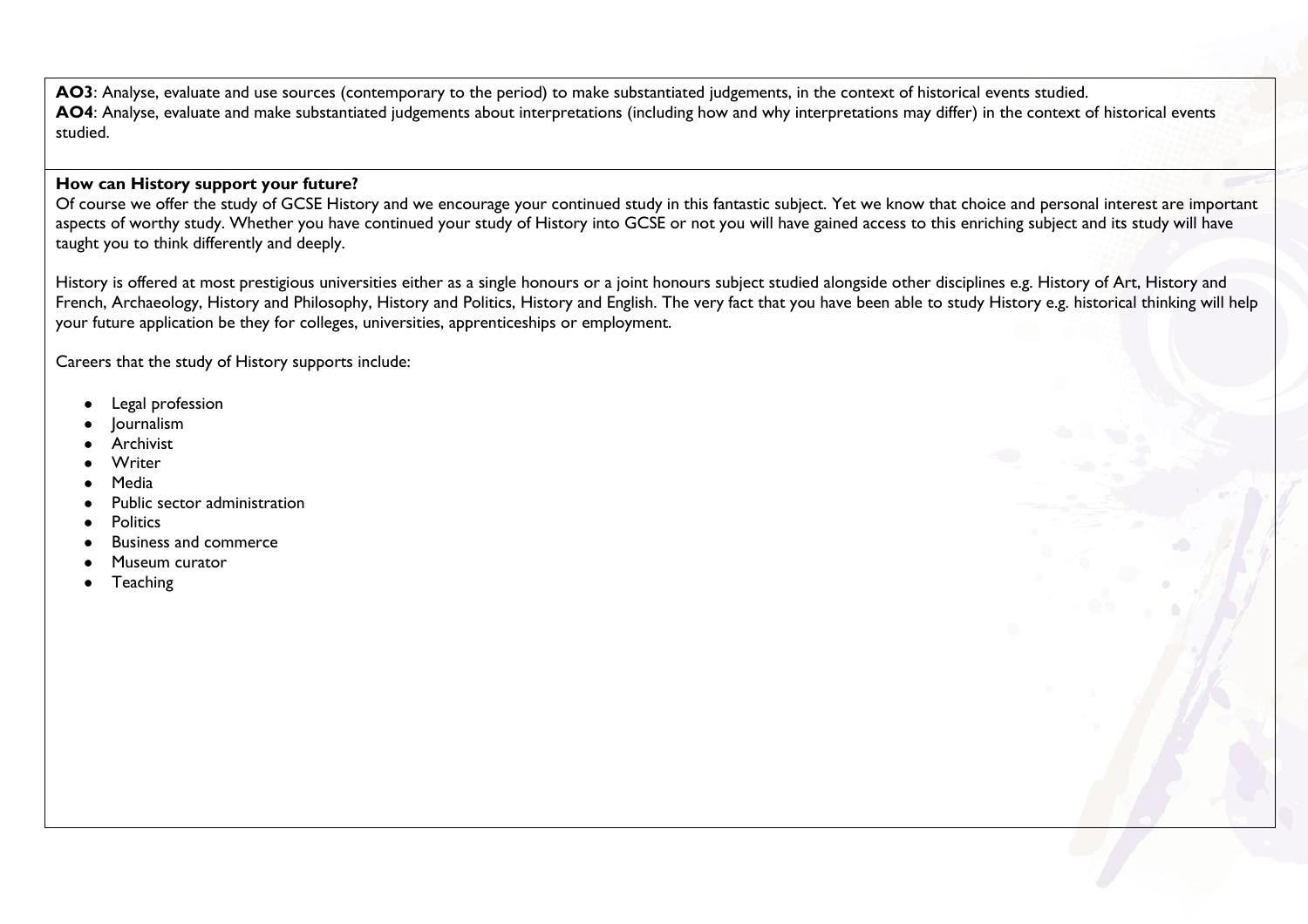**AO3**: Analyse, evaluate and use sources (contemporary to the period) to make substantiated judgements, in the context of historical events studied. **AO4**: Analyse, evaluate and make substantiated judgements about interpretations (including how and why interpretations may differ) in the context of historical events studied.

#### **How can History support your future?**

Of course we offer the study of GCSE History and we encourage your continued study in this fantastic subject. Yet we know that choice and personal interest are important aspects of worthy study. Whether you have continued your study of History into GCSE or not you will have gained access to this enriching subject and its study will have taught you to think differently and deeply.

History is offered at most prestigious universities either as a single honours or a joint honours subject studied alongside other disciplines e.g. History of Art, History and French, Archaeology, History and Philosophy, History and Politics, History and English. The very fact that you have been able to study History e.g. historical thinking will help your future application be they for colleges, universities, apprenticeships or employment.

Careers that the study of History supports include:

- Legal profession
- **Journalism**
- **Archivist**
- **Writer**
- **Media**
- Public sector administration
- **Politics**
- **Business and commerce**
- Museum curator
- **Teaching**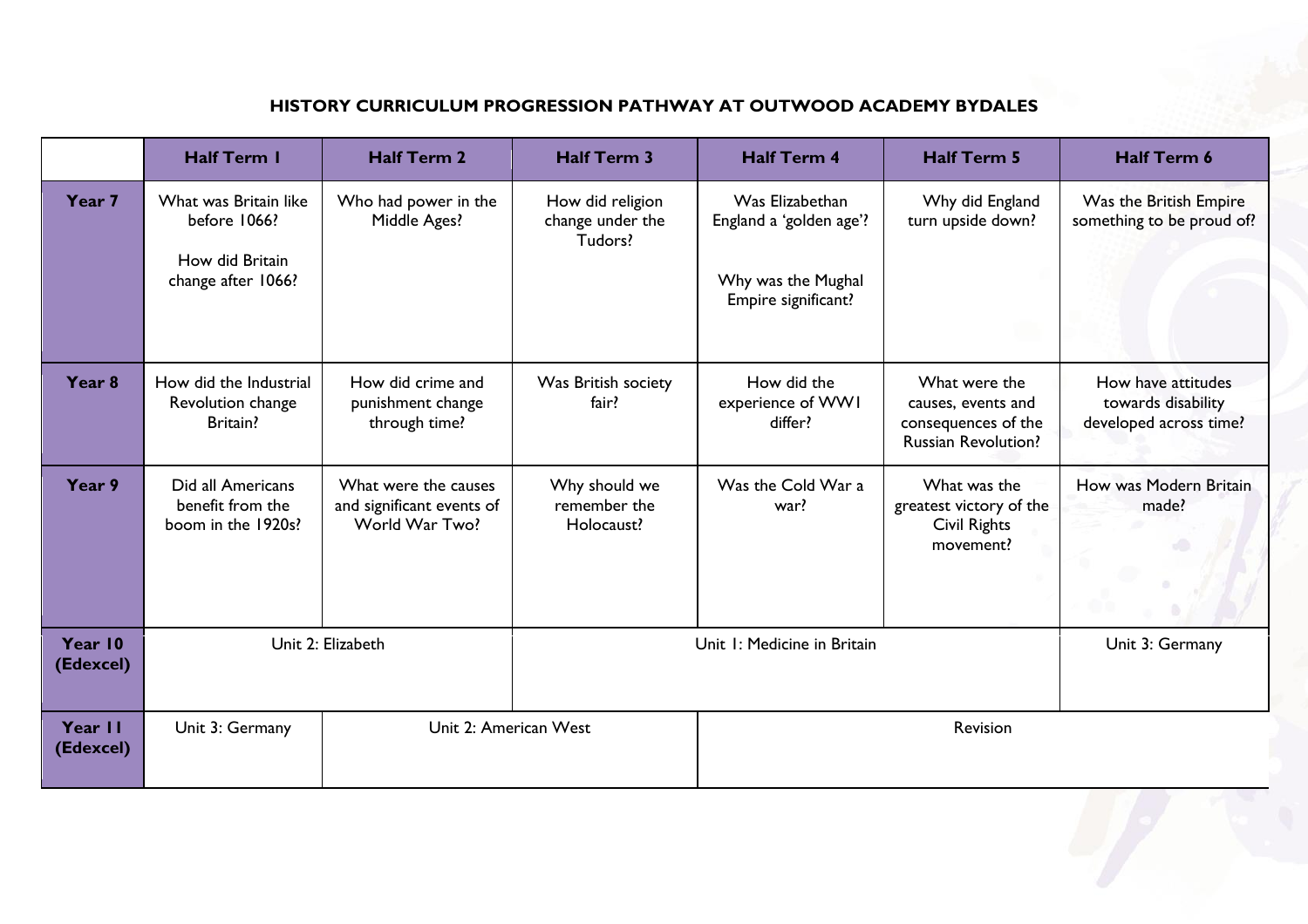### **HISTORY CURRICULUM PROGRESSION PATHWAY AT OUTWOOD ACADEMY BYDALES**

|                      | <b>Half Term I</b>                                                             | <b>Half Term 2</b>                                                  | <b>Half Term 3</b>                              | <b>Half Term 4</b>                                                                      | <b>Half Term 5</b>                                                                       | <b>Half Term 6</b>                                                 |
|----------------------|--------------------------------------------------------------------------------|---------------------------------------------------------------------|-------------------------------------------------|-----------------------------------------------------------------------------------------|------------------------------------------------------------------------------------------|--------------------------------------------------------------------|
| Year 7               | What was Britain like<br>before 1066?<br>How did Britain<br>change after 1066? | Who had power in the<br>Middle Ages?                                | How did religion<br>change under the<br>Tudors? | Was Elizabethan<br>England a 'golden age'?<br>Why was the Mughal<br>Empire significant? | Why did England<br>turn upside down?                                                     | Was the British Empire<br>something to be proud of?                |
| Year <sub>8</sub>    | How did the Industrial<br>Revolution change<br><b>Britain?</b>                 | How did crime and<br>punishment change<br>through time?             | Was British society<br>fair?                    | How did the<br>experience of WWI<br>differ?                                             | What were the<br>causes, events and<br>consequences of the<br><b>Russian Revolution?</b> | How have attitudes<br>towards disability<br>developed across time? |
| Year 9               | Did all Americans<br>benefit from the<br>boom in the 1920s?                    | What were the causes<br>and significant events of<br>World War Two? | Why should we<br>remember the<br>Holocaust?     | Was the Cold War a<br>war?                                                              | What was the<br>greatest victory of the<br>Civil Rights<br>movement?                     | How was Modern Britain<br>made?                                    |
| Year 10<br>(Edexcel) | Unit 2: Elizabeth                                                              |                                                                     | Unit I: Medicine in Britain                     |                                                                                         |                                                                                          | Unit 3: Germany                                                    |
| Year II<br>(Edexcel) | Unit 2: American West<br>Unit 3: Germany                                       |                                                                     |                                                 |                                                                                         | Revision                                                                                 |                                                                    |